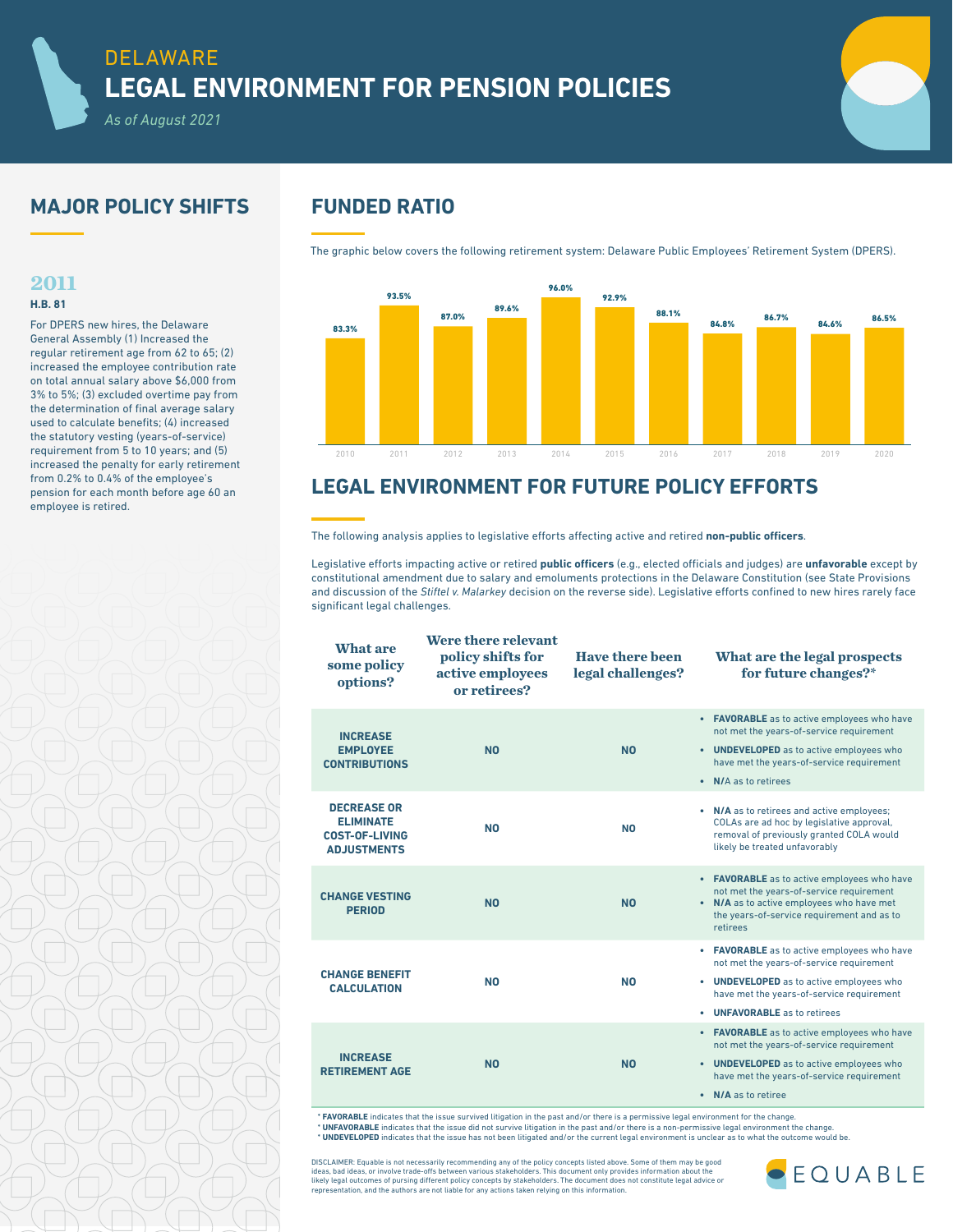# **MAJOR POLICY SHIFTS FUNDED RATIO**

*As of August 2021*

## **2011**

## **H.B. 81**

For DPERS new hires, the Delaware General Assembly (1) Increased the regular retirement age from 62 to 65; (2) increased the employee contribution rate on total annual salary above \$6,000 from 3% to 5%; (3) excluded overtime pay from the determination of final average salary used to calculate benefits; (4) increased the statutory vesting (years-of-service) requirement from 5 to 10 years; and (5) increased the penalty for early retirement from 0.2% to 0.4% of the employee's pension for each month before age 60 an employee is retired.

The graphic below covers the following retirement system: Delaware Public Employees' Retirement System (DPERS).



# **LEGAL ENVIRONMENT FOR FUTURE POLICY EFFORTS**

The following analysis applies to legislative efforts affecting active and retired **non-public officers**.

Legislative efforts impacting active or retired **public officers** (e.g., elected officials and judges) are **unfavorable** except by constitutional amendment due to salary and emoluments protections in the Delaware Constitution (see State Provisions and discussion of the *Stiftel v. Malarkey* decision on the reverse side). Legislative efforts confined to new hires rarely face significant legal challenges.

| What are<br>some policy<br>options?                                                   | Were there relevant<br>policy shifts for<br>active employees<br>or retirees? | Have there been<br>legal challenges? | What are the legal prospects<br>for future changes?*                                                                                                                                                                       |
|---------------------------------------------------------------------------------------|------------------------------------------------------------------------------|--------------------------------------|----------------------------------------------------------------------------------------------------------------------------------------------------------------------------------------------------------------------------|
| <b>INCREASE</b><br><b>EMPLOYEE</b><br><b>CONTRIBUTIONS</b>                            | N <sub>0</sub>                                                               | N <sub>0</sub>                       | • FAVORABLE as to active employees who have<br>not met the years-of-service requirement<br>• UNDEVELOPED as to active employees who<br>have met the years-of-service requirement<br>N/A as to retirees<br>$\bullet$        |
| <b>DECREASE OR</b><br><b>ELIMINATE</b><br><b>COST-OF-LIVING</b><br><b>ADJUSTMENTS</b> | N <sub>0</sub>                                                               | N <sub>0</sub>                       | • N/A as to retirees and active employees;<br>COLAs are ad hoc by legislative approval,<br>removal of previously granted COLA would<br>likely be treated unfavorably                                                       |
| <b>CHANGE VESTING</b><br><b>PERIOD</b>                                                | N <sub>0</sub>                                                               | N <sub>0</sub>                       | • FAVORABLE as to active employees who have<br>not met the years-of-service requirement<br>• N/A as to active employees who have met<br>the years-of-service requirement and as to<br>retirees                             |
| <b>CHANGE BENEFIT</b><br><b>CALCULATION</b>                                           | N <sub>0</sub>                                                               | <b>NO</b>                            | • FAVORABLE as to active employees who have<br>not met the years-of-service requirement<br>• UNDEVELOPED as to active employees who<br>have met the years-of-service requirement<br><b>UNFAVORABLE</b> as to retirees<br>٠ |
| <b>INCREASE</b><br><b>RETIREMENT AGE</b>                                              | N <sub>0</sub>                                                               | <b>NO</b>                            | • FAVORABLE as to active employees who have<br>not met the years-of-service requirement<br>• UNDEVELOPED as to active employees who<br>have met the years-of-service requirement<br>• N/A as to retiree                    |

\* **FAVORABLE** indicates that the issue survived litigation in the past and/or there is a permissive legal environment for the change. **\* UNFAVORABLE** indicates that the issue did not survive litigation in the past and/or there is a non-permissive legal environment the change.<br>**\* UNDEVELOPED** indicates that the issue has not been litigated and/or the curr

DISCLAIMER: Equable is not necessarily recommending any of the policy concepts listed above. Some of them may be good<br>ideas, bad ideas, or involve trade-offs between various stakeholders. This document only provides inform likely legal outcomes of pursing different policy concepts by stakeholders. The document does not constitute legal advice or representation, and the authors are not liable for any actions taken relying on this information.